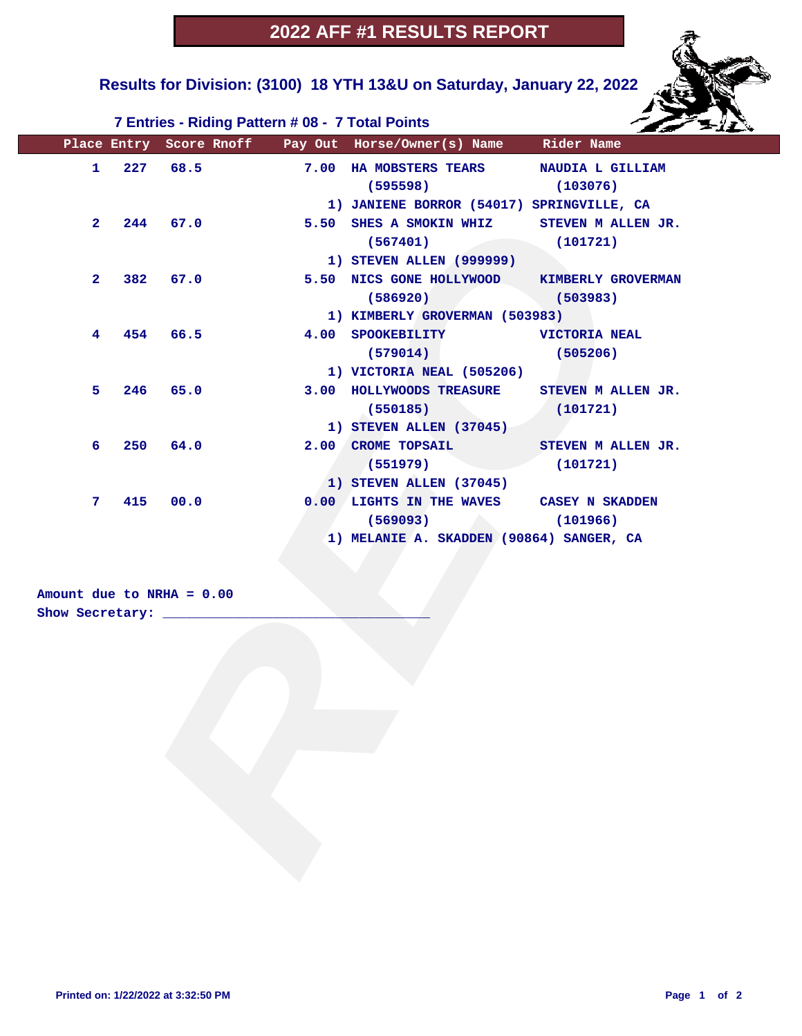**Results for Division: (3100) 18 YTH 13&U on Saturday, January 22, 2022** 



#### **7 Entries - Riding Pattern # 08 - 7 Total Points**

|                        |               |                             | Place Entry Score Rnoff Pay Out Horse/Owner(s) Name Rider Name |                    |
|------------------------|---------------|-----------------------------|----------------------------------------------------------------|--------------------|
| $\mathbf{1}$           |               | 227 68.5                    | 7.00 HA MOBSTERS TEARS NAUDIA L GILLIAM                        |                    |
|                        |               |                             | (595598)                                                       | (103076)           |
|                        |               |                             | 1) JANIENE BORROR (54017) SPRINGVILLE, CA                      |                    |
|                        | $2 \quad 244$ | 67.0                        | 5.50 SHES A SMOKIN WHIZ STEVEN M ALLEN JR.                     |                    |
|                        |               |                             | (567401)                                                       | (101721)           |
|                        |               |                             | 1) STEVEN ALLEN (999999)                                       |                    |
| $\mathbf{2}^-$         | 382           | 67.0                        | 5.50 NICS GONE HOLLYWOOD KIMBERLY GROVERMAN                    |                    |
|                        |               |                             | (586920)                                                       | (503983)           |
|                        |               |                             | 1) KIMBERLY GROVERMAN (503983)                                 |                    |
| 4                      | 454           | 66.5                        | 4.00 SPOOKEBILITY VICTORIA NEAL                                |                    |
|                        |               |                             | (579014)                                                       | (505206)           |
|                        |               |                             | 1) VICTORIA NEAL (505206)                                      |                    |
| 5.                     | 246           | 65.0                        | 3.00 HOLLYWOODS TREASURE                                       | STEVEN M ALLEN JR. |
|                        |               |                             | (550185)                                                       | (101721)           |
|                        |               |                             | 1) STEVEN ALLEN (37045)                                        |                    |
| 6                      | 250           | 64.0                        | 2.00 CROME TOPSAIL STEVEN M ALLEN JR.                          |                    |
|                        |               |                             | (551979)                                                       | (101721)           |
|                        |               |                             | 1) STEVEN ALLEN (37045)                                        |                    |
|                        | 7 415         | 00.0                        | 0.00 LIGHTS IN THE WAVES CASEY N SKADDEN                       |                    |
|                        |               |                             | (569093)                                                       | (101966)           |
|                        |               |                             | 1) MELANIE A. SKADDEN (90864) SANGER, CA                       |                    |
|                        |               |                             |                                                                |                    |
|                        |               |                             |                                                                |                    |
|                        |               | Amount due to NRHA = $0.00$ |                                                                |                    |
| Show Secretary: ______ |               |                             |                                                                |                    |
|                        |               |                             |                                                                |                    |
|                        |               |                             |                                                                |                    |
|                        |               |                             |                                                                |                    |
|                        |               |                             |                                                                |                    |
|                        |               |                             |                                                                |                    |
|                        |               |                             |                                                                |                    |
|                        |               |                             |                                                                |                    |
|                        |               |                             |                                                                |                    |
|                        |               |                             |                                                                |                    |
|                        |               |                             |                                                                |                    |
|                        |               |                             |                                                                |                    |
|                        |               |                             |                                                                |                    |
|                        |               |                             |                                                                |                    |

| Amount due to NRHA = 0.00 |  |  |  |  |  |
|---------------------------|--|--|--|--|--|
| Show Secretary:           |  |  |  |  |  |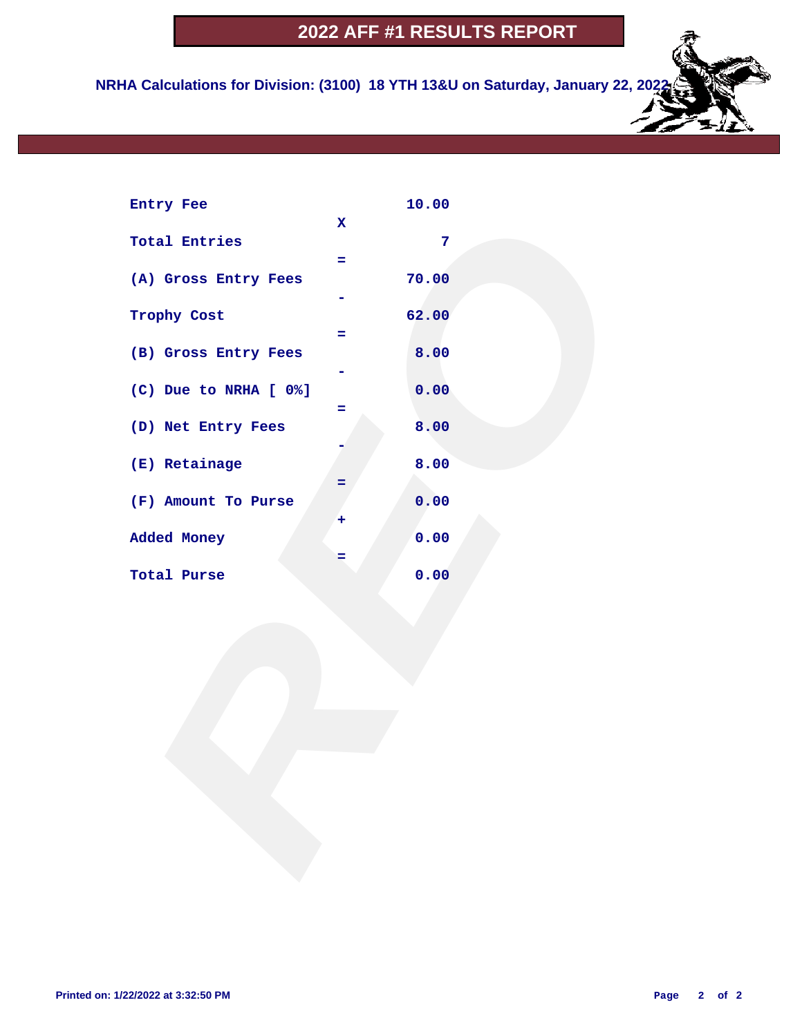**NRHA Calculations for Division: (3100) 18 YTH 13&U on Saturday, January 22, 2022**

| Entry Fee             |              | 10.00          |  |  |
|-----------------------|--------------|----------------|--|--|
| <b>Total Entries</b>  | $\mathbf{x}$ | $\overline{7}$ |  |  |
|                       | Ξ.           |                |  |  |
| (A) Gross Entry Fees  |              | 70.00          |  |  |
| Trophy Cost           |              | 62.00          |  |  |
|                       | ÷            |                |  |  |
| (B) Gross Entry Fees  |              | 8.00           |  |  |
| (C) Due to NRHA [ 0%] | Ξ            | 0.00           |  |  |
| (D) Net Entry Fees    |              | 8.00           |  |  |
| (E) Retainage         | =            | 8.00           |  |  |
| (F) Amount To Purse   |              | 0.00           |  |  |
| Added Money           | ٠            | 0.00           |  |  |
| Total Purse           | =            | 0.00           |  |  |
|                       |              |                |  |  |
|                       |              |                |  |  |
|                       |              |                |  |  |
|                       |              |                |  |  |
|                       |              |                |  |  |
|                       |              |                |  |  |
|                       |              |                |  |  |
|                       |              |                |  |  |
|                       |              |                |  |  |
|                       |              |                |  |  |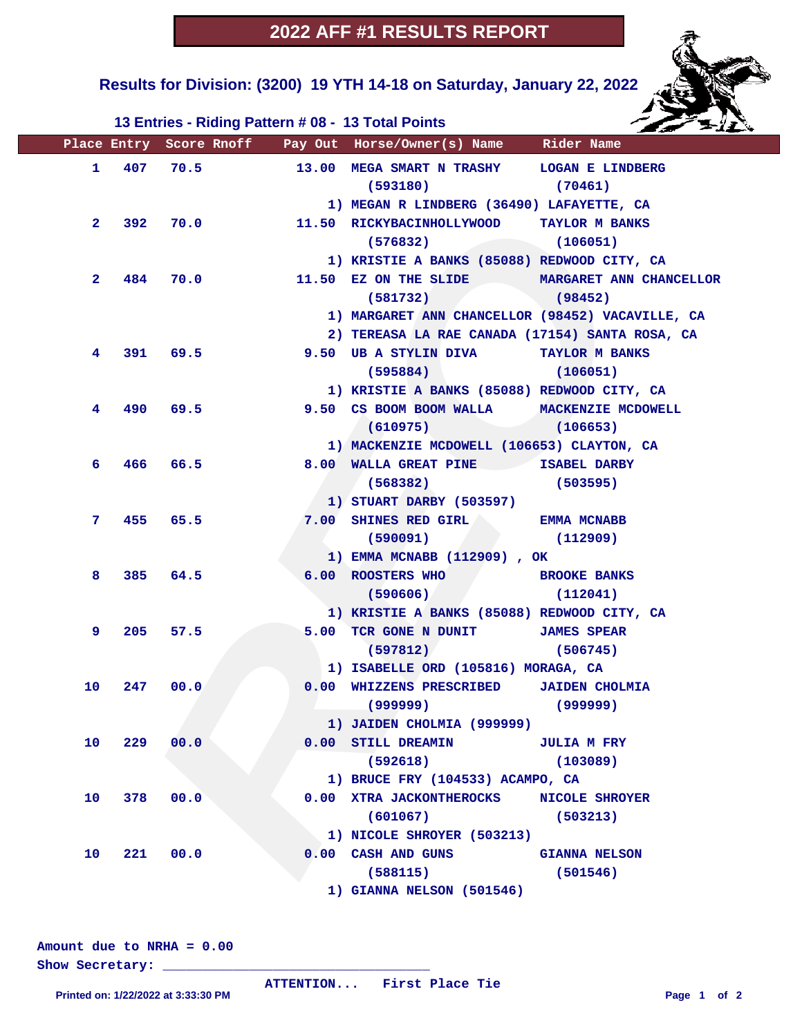**Results for Division: (3200) 19 YTH 14-18 on Saturday, January 22, 2022** 



#### **13 Entries - Riding Pattern # 08 - 13 Total Points**

|                | Place Entry | Score Rnoff | Pay Out Horse/Owner(s) Name Rider Name           |                                               |
|----------------|-------------|-------------|--------------------------------------------------|-----------------------------------------------|
| 1.             | 407         | 70.5        | 13.00 MEGA SMART N TRASHY LOGAN E LINDBERG       |                                               |
|                |             |             | (593180)                                         | (70461)                                       |
|                |             |             | 1) MEGAN R LINDBERG (36490) LAFAYETTE, CA        |                                               |
| $\mathbf{2}$   | 392         | 70.0        | 11.50 RICKYBACINHOLLYWOOD TAYLOR M BANKS         |                                               |
|                |             |             | (576832)                                         | (106051)                                      |
|                |             |             | 1) KRISTIE A BANKS (85088) REDWOOD CITY, CA      |                                               |
| $\mathbf{2}^-$ | 484         | 70.0        |                                                  | 11.50 EZ ON THE SLIDE MARGARET ANN CHANCELLOR |
|                |             |             | (581732)                                         | (98452)                                       |
|                |             |             | 1) MARGARET ANN CHANCELLOR (98452) VACAVILLE, CA |                                               |
|                |             |             | 2) TEREASA LA RAE CANADA (17154) SANTA ROSA, CA  |                                               |
| 4              | 391         | 69.5        | 9.50 UB A STYLIN DIVA                            | TAYLOR M BANKS                                |
|                |             |             | $(595884)$ $(106051)$                            |                                               |
|                |             |             | 1) KRISTIE A BANKS (85088) REDWOOD CITY, CA      |                                               |
| 4              | 490 —       | 69.5 000    | 9.50 CS BOOM BOOM WALLA MACKENZIE MCDOWELL       |                                               |
|                |             |             | (610975)                                         | (106653)                                      |
|                |             |             | 1) MACKENZIE MCDOWELL (106653) CLAYTON, CA       |                                               |
| 6              | 466         | 66.5        | 8.00 WALLA GREAT PINE ISABEL DARBY               |                                               |
|                |             |             | $(568382)$ (503595)                              |                                               |
|                |             |             | 1) STUART DARBY (503597)                         |                                               |
| 7.             | 455         | 65.5        | 7.00 SHINES RED GIRL BEMMA MCNABB                |                                               |
|                |             |             | (590091)                                         | (112909)                                      |
|                |             |             | 1) EMMA MCNABB (112909), OK                      |                                               |
| 8              | 385         | 64.5        | 6.00 ROOSTERS WHO                                | <b>BROOKE BANKS</b>                           |
|                |             |             | (590606)                                         | (112041)                                      |
|                |             |             | 1) KRISTIE A BANKS (85088) REDWOOD CITY, CA      |                                               |
| 9              | 205         | 57.5        | 5.00 TCR GONE N DUNIT JAMES SPEAR                |                                               |
|                |             |             | (597812)                                         | (506745)                                      |
|                |             |             | 1) ISABELLE ORD (105816) MORAGA, CA              |                                               |
| 10             | 247         | 00.0        | 0.00 WHIZZENS PRESCRIBED JAIDEN CHOLMIA          |                                               |
|                |             |             | (999999)                                         | (999999)                                      |
|                |             |             | 1) JAIDEN CHOLMIA (999999)                       |                                               |
| 10             | 229         | 00.0        | 0.00 STILL DREAMIN                               | <b>JULIA M FRY</b>                            |
|                |             |             | (592618)                                         | (103089)                                      |
|                |             |             | 1) BRUCE FRY (104533) ACAMPO, CA                 |                                               |
| 10             | 378         | 00.0        | 0.00 XTRA JACKONTHEROCKS                         | NICOLE SHROYER                                |
|                |             |             | (601067)                                         | (503213)                                      |
|                |             |             | 1) NICOLE SHROYER (503213)                       |                                               |
| 10             | 221         | 00.0        | 0.00 CASH AND GUNS                               | <b>GIANNA NELSON</b>                          |
|                |             |             | (588115)                                         | (501546)                                      |
|                |             |             | 1) GIANNA NELSON (501546)                        |                                               |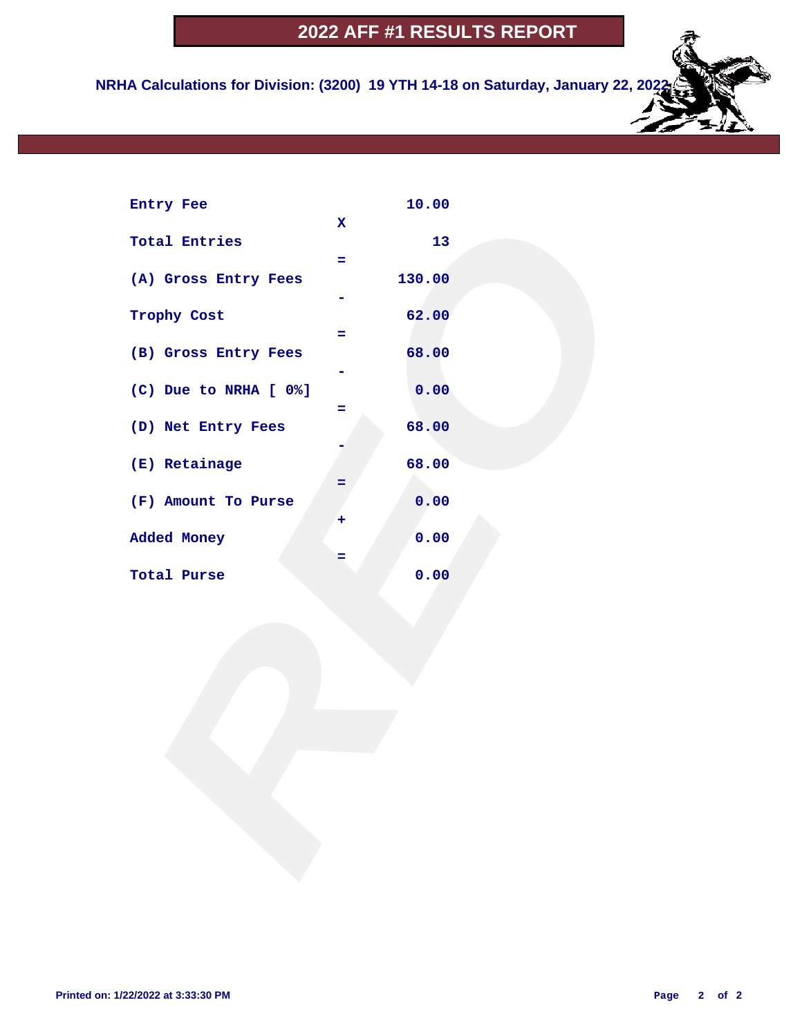**NRHA Calculations for Division: (3200) 19 YTH 14-18 on Saturday, January 22, 2022**

|   | 10.00                            |                                        |
|---|----------------------------------|----------------------------------------|
|   |                                  |                                        |
|   |                                  |                                        |
|   |                                  |                                        |
|   |                                  |                                        |
|   |                                  |                                        |
|   | 68.00                            |                                        |
|   | 0.00                             |                                        |
|   | 68.00                            |                                        |
|   |                                  |                                        |
|   |                                  |                                        |
|   | 0.00                             |                                        |
| ٠ |                                  |                                        |
| = |                                  |                                        |
|   | 0.00                             |                                        |
|   |                                  |                                        |
|   |                                  |                                        |
|   |                                  |                                        |
|   |                                  |                                        |
|   |                                  |                                        |
|   |                                  |                                        |
|   |                                  |                                        |
|   |                                  |                                        |
|   |                                  |                                        |
|   |                                  |                                        |
|   |                                  |                                        |
|   |                                  |                                        |
|   | $\mathbf x$<br>÷.<br>÷<br>=<br>= | 13<br>130.00<br>62.00<br>68.00<br>0.00 |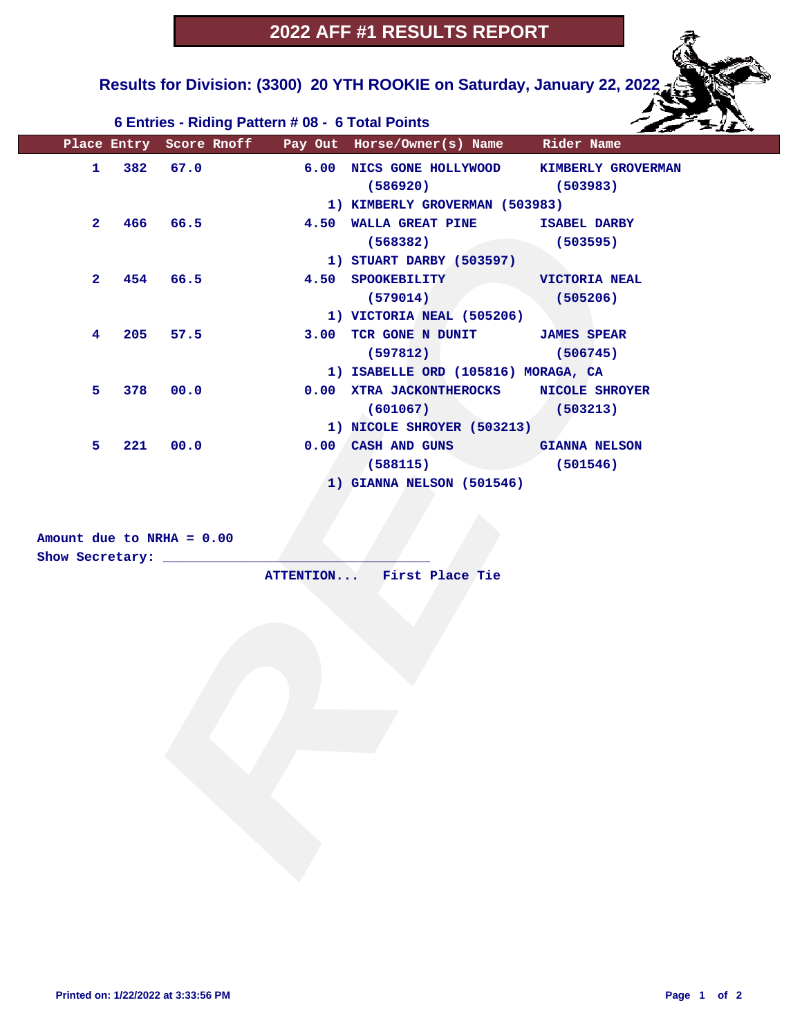**Results for Division: (3300) 20 YTH ROOKIE on Saturday, January 22, 2022** 

|              |     | 6 Entries - Riding Pattern # 08 - 6 Total Points        |                                                                |                       |
|--------------|-----|---------------------------------------------------------|----------------------------------------------------------------|-----------------------|
|              |     |                                                         | Place Entry Score Rnoff Pay Out Horse/Owner(s) Name Rider Name |                       |
| $\mathbf{1}$ |     | 382 67.0                                                | 6.00 NICS GONE HOLLYWOOD                                       | KIMBERLY GROVERMAN    |
|              |     |                                                         | (586920)                                                       | (503983)              |
|              |     |                                                         | 1) KIMBERLY GROVERMAN (503983)                                 |                       |
| $\mathbf{2}$ |     | 466 66.5                                                | 4.50 WALLA GREAT PINE ISABEL DARBY                             |                       |
|              |     |                                                         | (568382)                                                       | (503595)              |
|              |     |                                                         | 1) STUART DARBY (503597)                                       |                       |
| $\mathbf{2}$ |     | 454 66.5                                                | 4.50 SPOOKEBILITY                                              | <b>VICTORIA NEAL</b>  |
|              |     |                                                         | (579014)                                                       | (505206)              |
|              |     |                                                         | 1) VICTORIA NEAL (505206)                                      |                       |
| 4            | 205 | 57.5                                                    | 3.00 TCR GONE N DUNIT JAMES SPEAR                              |                       |
|              |     |                                                         | (597812)                                                       | (506745)              |
|              |     |                                                         | 1) ISABELLE ORD (105816) MORAGA, CA                            |                       |
| 5            | 378 | 00.0                                                    | 0.00 XTRA JACKONTHEROCKS                                       | <b>NICOLE SHROYER</b> |
|              |     |                                                         | (601067)                                                       | (503213)              |
|              |     |                                                         | 1) NICOLE SHROYER (503213)                                     |                       |
| 5.           | 221 | 00.0                                                    | 0.00 CASH AND GUNS                                             | <b>GIANNA NELSON</b>  |
|              |     |                                                         | (588115)                                                       | (501546)              |
|              |     | Amount due to NRHA = 0.00<br>Show Secretary: __________ |                                                                |                       |
|              |     |                                                         | ATTENTION First Place Tie                                      |                       |
|              |     |                                                         |                                                                |                       |
|              |     |                                                         |                                                                |                       |
|              |     |                                                         |                                                                |                       |
|              |     |                                                         |                                                                |                       |
|              |     |                                                         |                                                                |                       |
|              |     |                                                         |                                                                |                       |
|              |     |                                                         |                                                                |                       |
|              |     |                                                         |                                                                |                       |
|              |     |                                                         |                                                                |                       |
|              |     |                                                         |                                                                |                       |
|              |     |                                                         |                                                                |                       |
|              |     |                                                         |                                                                |                       |
|              |     |                                                         |                                                                |                       |
|              |     |                                                         |                                                                |                       |

| Amount due to NRHA = $0.00$ |  |
|-----------------------------|--|
| Show Secretary:             |  |

**Printed on: 1/22/2022 at 3:33:56 PM Page 1 of 2**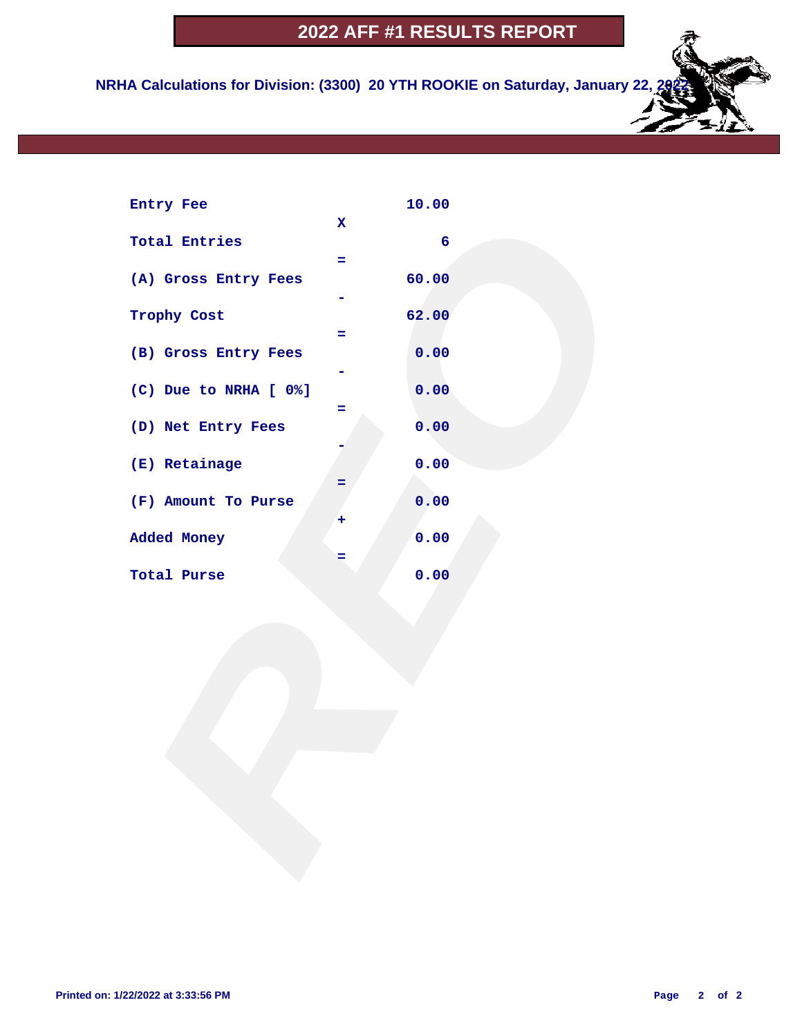**NRHA Calculations for Division: (3300) 20 YTH ROOKIE on Saturday, January 22** 

| Entry Fee             |             | 10.00          |  |  |
|-----------------------|-------------|----------------|--|--|
|                       | $\mathbf x$ |                |  |  |
| <b>Total Entries</b>  |             | $6\phantom{a}$ |  |  |
| (A) Gross Entry Fees  | ÷           | 60.00          |  |  |
| Trophy Cost           |             | 62.00          |  |  |
|                       | $=$         |                |  |  |
| (B) Gross Entry Fees  |             | 0.00           |  |  |
| (C) Due to NRHA [ 0%] |             | 0.00           |  |  |
| (D) Net Entry Fees    | Ξ           | 0.00           |  |  |
| (E) Retainage         |             | 0.00           |  |  |
| (F) Amount To Purse   | =           | 0.00           |  |  |
| Added Money           | ٠           | 0.00           |  |  |
| Total Purse           | Ξ           | 0.00           |  |  |
|                       |             |                |  |  |
|                       |             |                |  |  |
|                       |             |                |  |  |
|                       |             |                |  |  |
|                       |             |                |  |  |
|                       |             |                |  |  |
|                       |             |                |  |  |
|                       |             |                |  |  |
|                       |             |                |  |  |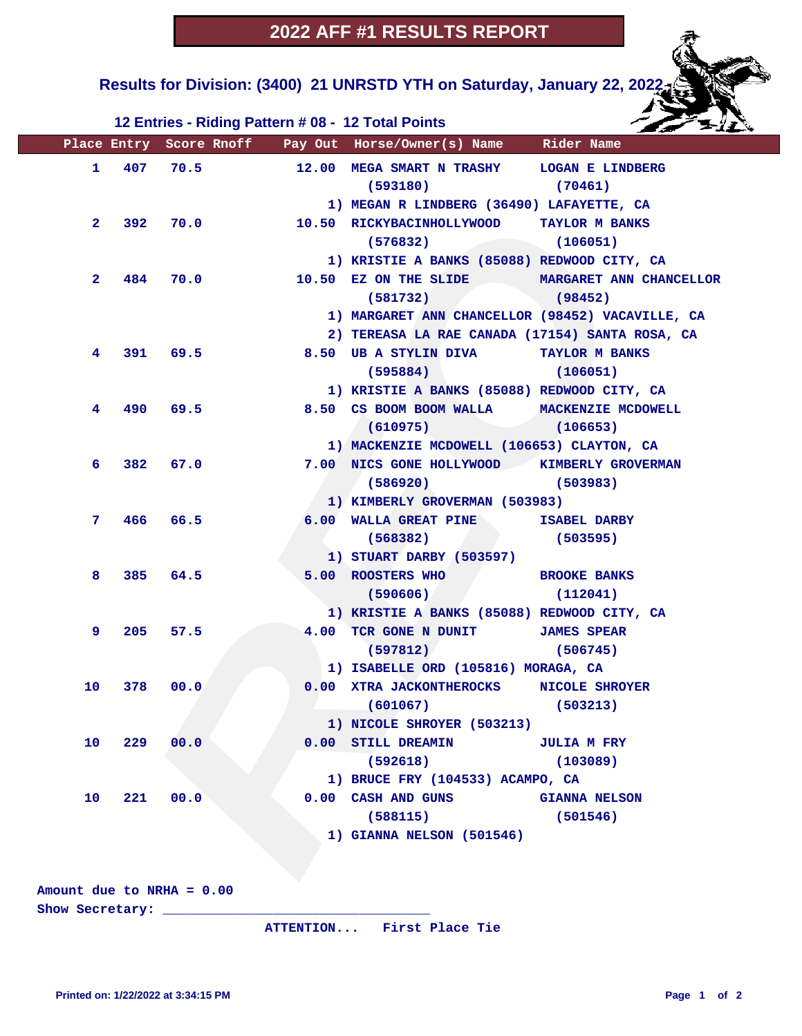**Results for Division: (3400) 21 UNRSTD YTH on Saturday, January 22, 2022** 

#### **12 Entries - Riding Pattern # 08 - 12 Total Points**

|                | Place Entry |      | Score Rnoff | Pay Out Horse/Owner(s) Name Rider Name           |                      |
|----------------|-------------|------|-------------|--------------------------------------------------|----------------------|
| $\mathbf{1}$   | 407         | 70.5 |             | 12.00 MEGA SMART N TRASHY LOGAN E LINDBERG       |                      |
|                |             |      |             | (593180)                                         | (70461)              |
|                |             |      |             | 1) MEGAN R LINDBERG (36490) LAFAYETTE, CA        |                      |
| $\mathbf{2}$   | 392         |      | 70.0        | 10.50 RICKYBACINHOLLYWOOD TAYLOR M BANKS         |                      |
|                |             |      |             | (576832)                                         | (106051)             |
|                |             |      |             | 1) KRISTIE A BANKS (85088) REDWOOD CITY, CA      |                      |
| $\mathbf{2}^-$ | 484         | 70.0 |             | 10.50 EZ ON THE SLIDE MARGARET ANN CHANCELLOR    |                      |
|                |             |      |             | (581732)                                         | (98452)              |
|                |             |      |             | 1) MARGARET ANN CHANCELLOR (98452) VACAVILLE, CA |                      |
|                |             |      |             | 2) TEREASA LA RAE CANADA (17154) SANTA ROSA, CA  |                      |
| 4              | 391         | 69.5 |             | 8.50 UB A STYLIN DIVA                            | TAYLOR M BANKS       |
|                |             |      |             | $(595884)$ $(106051)$                            |                      |
|                |             |      |             | 1) KRISTIE A BANKS (85088) REDWOOD CITY, CA      |                      |
| 4              | 490 —       |      | 69.5 69.5   | 8.50 CS BOOM BOOM WALLA MACKENZIE MCDOWELL       |                      |
|                |             |      |             | (610975)                                         | (106653)             |
|                |             |      |             | 1) MACKENZIE MCDOWELL (106653) CLAYTON, CA       |                      |
| 6              | 382         | 67.0 |             | 7.00 NICS GONE HOLLYWOOD KIMBERLY GROVERMAN      |                      |
|                |             |      |             | $(586920)$ (503983)                              |                      |
|                |             |      |             | 1) KIMBERLY GROVERMAN (503983)                   |                      |
| 7              | 466         | 66.5 |             | 6.00 WALLA GREAT PINE                            | ISABEL DARBY         |
|                |             |      |             | (568382)                                         | (503595)             |
|                |             |      |             | 1) STUART DARBY (503597)                         |                      |
| 8              | 385         | 64.5 |             | 5.00 ROOSTERS WHO BROOKE BANKS                   |                      |
|                |             |      |             | (590606)                                         | (112041)             |
|                |             |      |             | 1) KRISTIE A BANKS (85088) REDWOOD CITY, CA      |                      |
| 9              | 205         | 57.5 |             | 4.00 TCR GONE N DUNIT JAMES SPEAR                |                      |
|                |             |      |             | (597812)                                         | (506745)             |
|                |             |      |             | 1) ISABELLE ORD (105816) MORAGA, CA              |                      |
| 10             | 378         | 00.0 |             | 0.00 XTRA JACKONTHEROCKS NICOLE SHROYER          |                      |
|                |             |      |             | (601067)                                         | (503213)             |
|                |             |      |             | 1) NICOLE SHROYER (503213)                       |                      |
| 10             | 229         | 00.0 |             | 0.00 STILL DREAMIN                               | <b>JULIA M FRY</b>   |
|                |             |      |             | (592618)                                         | (103089)             |
|                |             |      |             | 1) BRUCE FRY (104533) ACAMPO, CA                 |                      |
| 10             | 221         | 00.0 |             | 0.00 CASH AND GUNS                               | <b>GIANNA NELSON</b> |
|                |             |      |             | (588115)                                         | (501546)             |
|                |             |      |             | 1) GIANNA NELSON (501546)                        |                      |
|                |             |      |             |                                                  |                      |

**Amount due to NRHA = 0.00**

**Show Secretary: \_\_\_\_\_\_\_\_\_\_\_\_\_\_\_\_\_\_\_\_\_\_\_\_\_\_\_\_\_\_\_\_\_\_**

 **ATTENTION... First Place Tie**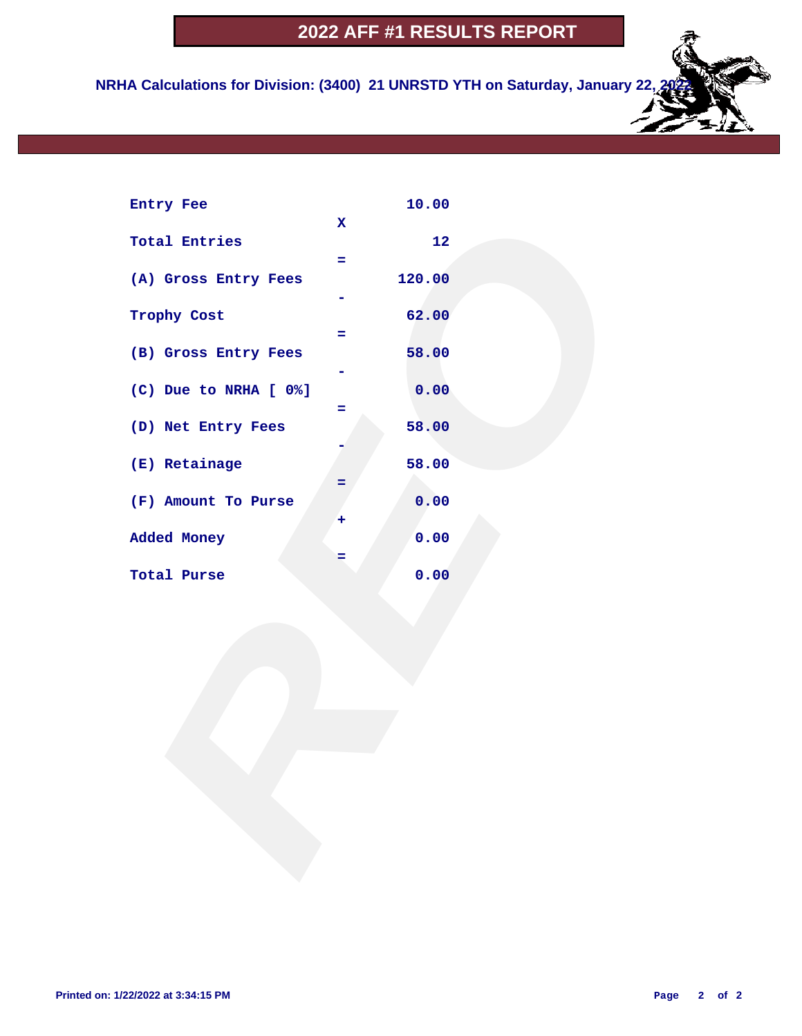**NRHA Calculations for Division: (3400) 21 UNRSTD YTH on Saturday, January 22** 

| Entry Fee             | 10.00             |  |
|-----------------------|-------------------|--|
| <b>Total Entries</b>  | $\mathbf x$<br>12 |  |
| (A) Gross Entry Fees  | ÷.<br>120.00      |  |
| Trophy Cost           | 62.00<br>$=$      |  |
| (B) Gross Entry Fees  | 58.00             |  |
| (C) Due to NRHA [ 0%] | 0.00<br>Ξ         |  |
| (D) Net Entry Fees    | 58.00             |  |
| (E) Retainage         | 58.00<br>=        |  |
| (F) Amount To Purse   | 0.00<br>٠         |  |
| Added Money           | 0.00<br>=         |  |
| Total Purse           | 0.00              |  |
|                       |                   |  |
|                       |                   |  |
|                       |                   |  |
|                       |                   |  |
|                       |                   |  |
|                       |                   |  |
|                       |                   |  |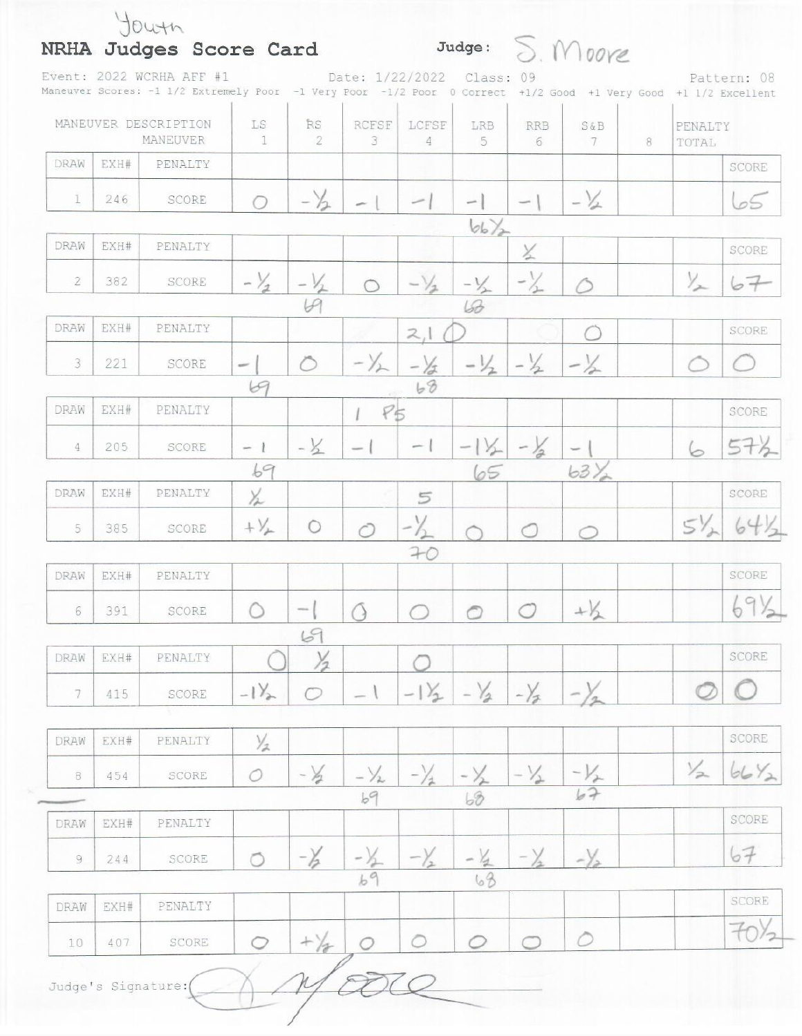|               |      | NRHA Judges Score Card                                                                                                                      |                          |                          |                         |                         |                               |                 | Judge: S. Moore          |   |                  |                 |
|---------------|------|---------------------------------------------------------------------------------------------------------------------------------------------|--------------------------|--------------------------|-------------------------|-------------------------|-------------------------------|-----------------|--------------------------|---|------------------|-----------------|
|               |      | Event: 2022 WCRHA AFF #1<br>Maneuver Scores: -1 1/2 Extremely Poor -1 Very Poor -1/2 Poor 0 Correct +1/2 Good +1 Very Good +1 1/2 Excellent |                          |                          | Date: 1/22/2022         |                         | Class: 09                     |                 |                          |   |                  | Pattern: 08     |
|               |      | MANEUVER DESCRIPTION<br>MANEUVER                                                                                                            | LS<br>1                  | <b>RS</b><br>2           | RCFSF<br>$\mathfrak{Z}$ | LCFSF<br>$\overline{4}$ | LRB<br>5                      | <b>RRB</b><br>6 | <b>S&amp;B</b><br>$\tau$ | 8 | PENALTY<br>TOTAL |                 |
| DRAW          | EXH# | PENALTY                                                                                                                                     |                          |                          |                         |                         |                               |                 |                          |   |                  | SCORE           |
| $\mathbf{I}$  | 246  | SCORE                                                                                                                                       |                          | $-\sqrt{2}$              |                         |                         |                               |                 | $-\frac{1}{2}$           |   |                  |                 |
|               |      |                                                                                                                                             |                          |                          |                         |                         | $bb_2$                        |                 |                          |   |                  |                 |
| DRAW          | EXH# | PENALTY                                                                                                                                     |                          |                          |                         |                         |                               | X               |                          |   |                  | SCORE           |
| 2             | 382  | SCORE                                                                                                                                       | $-\frac{1}{2}$           | $\varphi$                |                         |                         |                               | $-\frac{1}{2}$  |                          |   | $\frac{1}{2}$    | 67              |
| DRAW          | EXH# | PENALTY                                                                                                                                     |                          |                          |                         | 2.1                     | LB                            |                 |                          |   |                  | SCORE           |
| 3             | 221  | SCORE                                                                                                                                       |                          | $\bigcirc$               | $-\sqrt{2}$             | Y5.                     | $-\frac{1}{2}$                | $-\frac{1}{2}$  | $-\frac{1}{2}$           |   |                  |                 |
|               |      |                                                                                                                                             | 69                       |                          |                         | 68                      |                               |                 |                          |   |                  |                 |
| DRAW          | EXH# | PENALTY                                                                                                                                     |                          |                          | $P_{F}$                 |                         |                               |                 |                          |   |                  | SCORE           |
| 4             | 205  | SCORE                                                                                                                                       | $\overline{\phantom{0}}$ | $-\frac{1}{2}$           |                         | $-1$                    |                               | $-\frac{1}{2}$  |                          |   |                  |                 |
| DRAW          |      |                                                                                                                                             | 69                       |                          |                         |                         | 65                            |                 | 63X                      |   |                  |                 |
|               | EXH# | PENALTY                                                                                                                                     | X                        |                          |                         | 5                       |                               |                 |                          |   |                  | SCORE           |
| 5             | 385  | SCORE                                                                                                                                       | $+\frac{1}{2}$           | $\circ$                  | Ò                       | 7                       |                               |                 |                          |   | $5\%$            |                 |
| DRAW          | EXH# | PENALTY                                                                                                                                     |                          |                          |                         |                         |                               |                 |                          |   |                  | <b>SCORE</b>    |
| $\epsilon$    | 391  | SCORE                                                                                                                                       | ∩                        | $\overline{\phantom{a}}$ |                         |                         | $\circ$                       | $\bigcirc$      | $+1/2$                   |   |                  | 69              |
|               |      |                                                                                                                                             |                          | 69                       |                         |                         |                               |                 |                          |   |                  |                 |
| DRAW          | EXH# | PENALTY                                                                                                                                     |                          | $\frac{1}{2}$            |                         |                         |                               |                 |                          |   |                  | SCORE           |
| 7             | 415  | SCORE                                                                                                                                       | $-1\frac{1}{2}$          | O                        |                         | $-1\frac{1}{2}$         | $-\frac{1}{2}$ $-\frac{1}{2}$ |                 |                          |   |                  |                 |
| DRAW          | EXH# | PENALTY                                                                                                                                     | $\frac{1}{2}$            |                          |                         |                         |                               |                 |                          |   |                  | SCORE           |
| 8             | 454  | SCORE                                                                                                                                       | O                        | $-\frac{1}{2}$           | $-\frac{1}{2}$          | $-\frac{1}{4}$          |                               | $-\frac{1}{2}$  | $\frac{-1}{67}$          |   | $\frac{1}{2}$    | $66\frac{y}{2}$ |
|               |      |                                                                                                                                             |                          |                          | 69                      |                         | $b\hat{v}$                    |                 |                          |   |                  |                 |
| DRAW          | EXH# | PENALTY                                                                                                                                     |                          |                          |                         |                         |                               |                 |                          |   |                  | SCORE           |
| $\mathcal{G}$ | 244  | SCORE                                                                                                                                       | O                        | $-\frac{\gamma}{2}$      | $-\frac{1}{2}$          |                         |                               | $-\rangle$      | $-\frac{1}{2}$           |   |                  | 67              |
| DRAW          | EXH# | PENALTY                                                                                                                                     |                          |                          | 69                      |                         | 68                            |                 |                          |   |                  | SCORE           |
| 10            | 407  | SCORE                                                                                                                                       | $\circ$                  | $+\frac{1}{2}$           | 0                       | $\circ$                 | 0                             |                 | Õ                        |   |                  |                 |

 $\sqrt{2}$